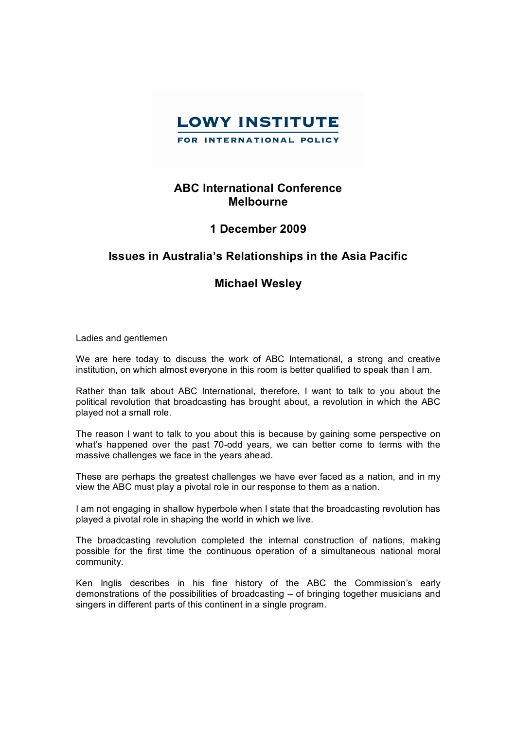

## **ABC International Conference Melbourne**

## **1 December 2009**

## **Issues in Australia's Relationships in the Asia Pacific**

## **Michael Wesley**

Ladies and gentlemen

We are here today to discuss the work of ABC International, a strong and creative institution, on which almost everyone in this room is better qualified to speak than I am.

Rather than talk about ABC International, therefore, I want to talk to you about the political revolution that broadcasting has brought about, a revolution in which the ABC played not a small role.

The reason I want to talk to you about this is because by gaining some perspective on what's happened over the past 70-odd years, we can better come to terms with the massive challenges we face in the years ahead.

These are perhaps the greatest challenges we have ever faced as a nation, and in my view the ABC must play a pivotal role in our response to them as a nation.

I am not engaging in shallow hyperbole when I state that the broadcasting revolution has played a pivotal role in shaping the world in which we live.

The broadcasting revolution completed the internal construction of nations, making possible for the first time the continuous operation of a simultaneous national moral community.

Ken Inglis describes in his fine history of the ABC the Commission's early demonstrations of the possibilities of broadcasting – of bringing together musicians and singers in different parts of this continent in a single program.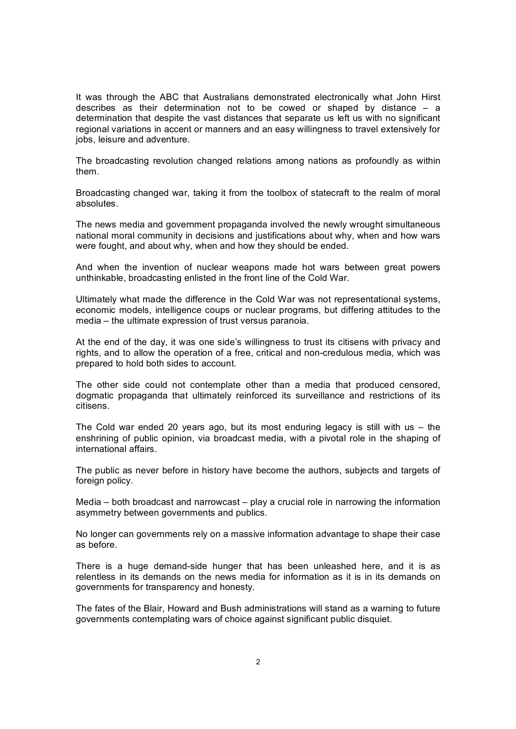It was through the ABC that Australians demonstrated electronically what John Hirst describes as their determination not to be cowed or shaped by distance – a determination that despite the vast distances that separate us left us with no significant regional variations in accent or manners and an easy willingness to travel extensively for jobs, leisure and adventure.

The broadcasting revolution changed relations among nations as profoundly as within them.

Broadcasting changed war, taking it from the toolbox of statecraft to the realm of moral absolutes.

The news media and government propaganda involved the newly wrought simultaneous national moral community in decisions and justifications about why, when and how wars were fought, and about why, when and how they should be ended.

And when the invention of nuclear weapons made hot wars between great powers unthinkable, broadcasting enlisted in the front line of the Cold War.

Ultimately what made the difference in the Cold War was not representational systems, economic models, intelligence coups or nuclear programs, but differing attitudes to the media – the ultimate expression of trust versus paranoia.

At the end of the day, it was one side's willingness to trust its citisens with privacy and rights, and to allow the operation of a free, critical and non-credulous media, which was prepared to hold both sides to account.

The other side could not contemplate other than a media that produced censored, dogmatic propaganda that ultimately reinforced its surveillance and restrictions of its citisens.

The Cold war ended 20 years ago, but its most enduring legacy is still with us  $-$  the enshrining of public opinion, via broadcast media, with a pivotal role in the shaping of international affairs.

The public as never before in history have become the authors, subjects and targets of foreign policy.

Media  $-$  both broadcast and narrowcast  $-$  play a crucial role in narrowing the information asymmetry between governments and publics.

No longer can governments rely on a massive information advantage to shape their case as before.

There is a huge demand-side hunger that has been unleashed here, and it is as relentless in its demands on the news media for information as it is in its demands on governments for transparency and honesty.

The fates of the Blair, Howard and Bush administrations will stand as a warning to future governments contemplating wars of choice against significant public disquiet.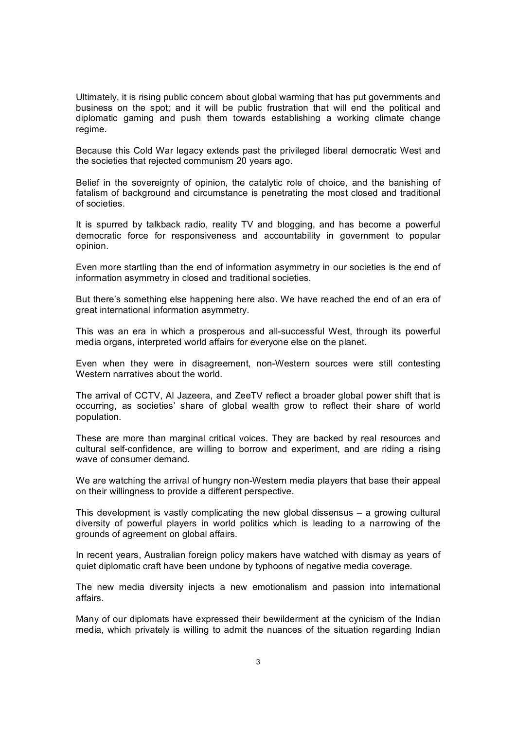Ultimately, it is rising public concern about global warming that has put governments and business on the spot; and it will be public frustration that will end the political and diplomatic gaming and push them towards establishing a working climate change regime.

Because this Cold War legacy extends past the privileged liberal democratic West and the societies that rejected communism 20 years ago.

Belief in the sovereignty of opinion, the catalytic role of choice, and the banishing of fatalism of background and circumstance is penetrating the most closed and traditional of societies.

It is spurred by talkback radio, reality TV and blogging, and has become a powerful democratic force for responsiveness and accountability in government to popular opinion.

Even more startling than the end of information asymmetry in our societies is the end of information asymmetry in closed and traditional societies.

But there's something else happening here also. We have reached the end of an era of great international information asymmetry.

This was an era in which a prosperous and all-successful West, through its powerful media organs, interpreted world affairs for everyone else on the planet.

Even when they were in disagreement, non-Western sources were still contesting Western narratives about the world.

The arrival of CCTV, Al Jazeera, and ZeeTV reflect a broader global power shift that is occurring, as societies' share of global wealth grow to reflect their share of world population.

These are more than marginal critical voices. They are backed by real resources and cultural self-confidence, are willing to borrow and experiment, and are riding a rising wave of consumer demand.

We are watching the arrival of hungry non-Western media players that base their appeal on their willingness to provide a different perspective.

This development is vastly complicating the new global dissensus – a growing cultural diversity of powerful players in world politics which is leading to a narrowing of the grounds of agreement on global affairs.

In recent years, Australian foreign policy makers have watched with dismay as years of quiet diplomatic craft have been undone by typhoons of negative media coverage.

The new media diversity injects a new emotionalism and passion into international affairs.

Many of our diplomats have expressed their bewilderment at the cynicism of the Indian media, which privately is willing to admit the nuances of the situation regarding Indian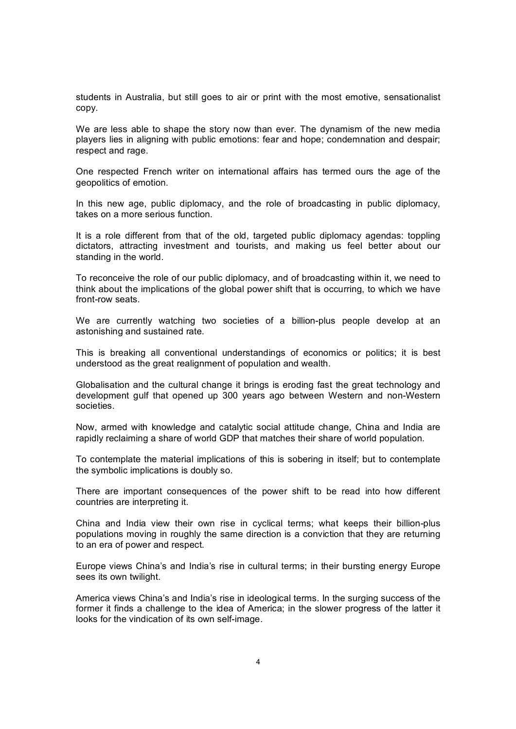students in Australia, but still goes to air or print with the most emotive, sensationalist copy.

We are less able to shape the story now than ever. The dynamism of the new media players lies in aligning with public emotions: fear and hope; condemnation and despair; respect and rage.

One respected French writer on international affairs has termed ours the age of the geopolitics of emotion.

In this new age, public diplomacy, and the role of broadcasting in public diplomacy, takes on a more serious function.

It is a role different from that of the old, targeted public diplomacy agendas: toppling dictators, attracting investment and tourists, and making us feel better about our standing in the world.

To reconceive the role of our public diplomacy, and of broadcasting within it, we need to think about the implications of the global power shift that is occurring, to which we have front-row seats.

We are currently watching two societies of a billion-plus people develop at an astonishing and sustained rate.

This is breaking all conventional understandings of economics or politics; it is best understood as the great realignment of population and wealth.

Globalisation and the cultural change it brings is eroding fast the great technology and development gulf that opened up 300 years ago between Western and non-Western societies.

Now, armed with knowledge and catalytic social attitude change, China and India are rapidly reclaiming a share of world GDP that matches their share of world population.

To contemplate the material implications of this is sobering in itself; but to contemplate the symbolic implications is doubly so.

There are important consequences of the power shift to be read into how different countries are interpreting it.

China and India view their own rise in cyclical terms; what keeps their billion-plus populations moving in roughly the same direction is a conviction that they are returning to an era of power and respect.

Europe views China's and India's rise in cultural terms; in their bursting energy Europe sees its own twilight.

America views China's and India's rise in ideological terms. In the surging success of the former it finds a challenge to the idea of America; in the slower progress of the latter it looks for the vindication of its own self-image.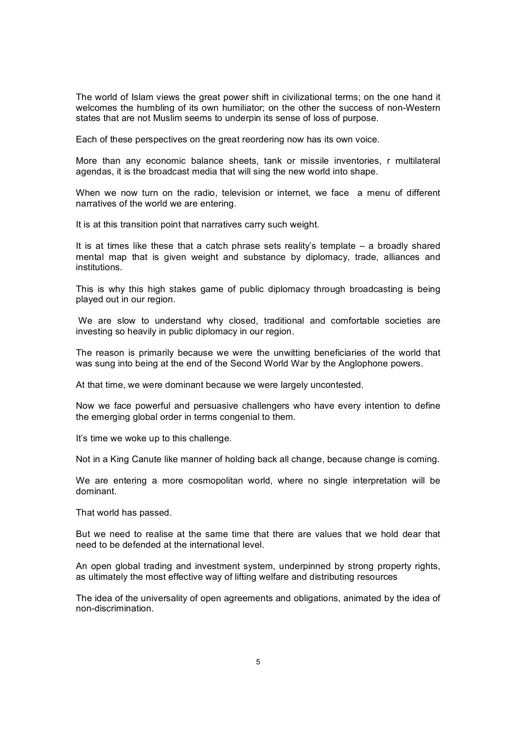The world of Islam views the great power shift in civilizational terms; on the one hand it welcomes the humbling of its own humiliator; on the other the success of non-Western states that are not Muslim seems to underpin its sense of loss of purpose.

Each of these perspectives on the great reordering now has its own voice.

More than any economic balance sheets, tank or missile inventories, r multilateral agendas, it is the broadcast media that will sing the new world into shape.

When we now turn on the radio, television or internet, we face a menu of different narratives of the world we are entering.

It is at this transition point that narratives carry such weight.

It is at times like these that a catch phrase sets reality's template  $-$  a broadly shared mental map that is given weight and substance by diplomacy, trade, alliances and institutions.

This is why this high stakes game of public diplomacy through broadcasting is being played out in our region.

We are slow to understand why closed, traditional and comfortable societies are investing so heavily in public diplomacy in our region.

The reason is primarily because we were the unwitting beneficiaries of the world that was sung into being at the end of the Second World War by the Anglophone powers.

At that time, we were dominant because we were largely uncontested.

Now we face powerful and persuasive challengers who have every intention to define the emerging global order in terms congenial to them.

It's time we woke up to this challenge.

Not in a King Canute like manner of holding back all change, because change is coming.

We are entering a more cosmopolitan world, where no single interpretation will be dominant.

That world has passed.

But we need to realise at the same time that there are values that we hold dear that need to be defended at the international level.

An open global trading and investment system, underpinned by strong property rights, as ultimately the most effective way of lifting welfare and distributing resources

The idea of the universality of open agreements and obligations, animated by the idea of non-discrimination.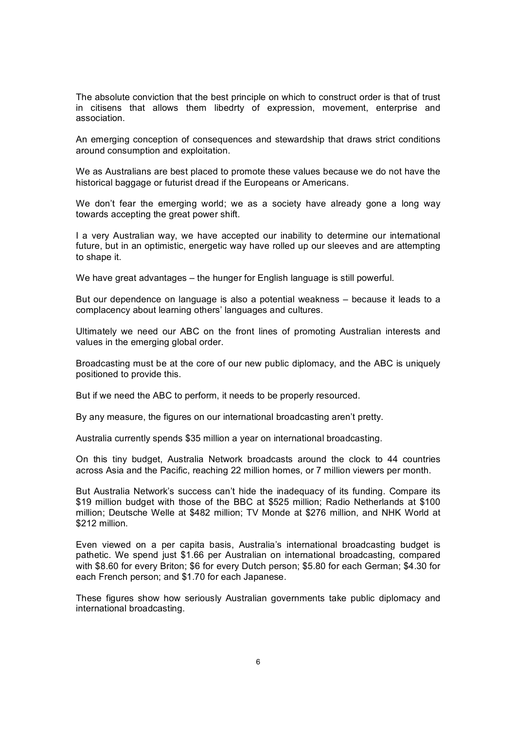The absolute conviction that the best principle on which to construct order is that of trust in citisens that allows them libedrty of expression, movement, enterprise and association.

An emerging conception of consequences and stewardship that draws strict conditions around consumption and exploitation.

We as Australians are best placed to promote these values because we do not have the historical baggage or futurist dread if the Europeans or Americans.

We don't fear the emerging world; we as a society have already gone a long way towards accepting the great power shift.

I a very Australian way, we have accepted our inability to determine our international future, but in an optimistic, energetic way have rolled up our sleeves and are attempting to shape it.

We have great advantages – the hunger for English language is still powerful.

But our dependence on language is also a potential weakness – because it leads to a complacency about learning others' languages and cultures.

Ultimately we need our ABC on the front lines of promoting Australian interests and values in the emerging global order.

Broadcasting must be at the core of our new public diplomacy, and the ABC is uniquely positioned to provide this.

But if we need the ABC to perform, it needs to be properly resourced.

By any measure, the figures on our international broadcasting aren't pretty.

Australia currently spends \$35 million a year on international broadcasting.

On this tiny budget, Australia Network broadcasts around the clock to 44 countries across Asia and the Pacific, reaching 22 million homes, or 7 million viewers per month.

But Australia Network's success can't hide the inadequacy of its funding. Compare its \$19 million budget with those of the BBC at \$525 million; Radio Netherlands at \$100 million; Deutsche Welle at \$482 million; TV Monde at \$276 million, and NHK World at \$212 million.

Even viewed on a per capita basis, Australia's international broadcasting budget is pathetic. We spend just \$1.66 per Australian on international broadcasting, compared with \$8.60 for every Briton; \$6 for every Dutch person; \$5.80 for each German; \$4.30 for each French person; and \$1.70 for each Japanese.

These figures show how seriously Australian governments take public diplomacy and international broadcasting.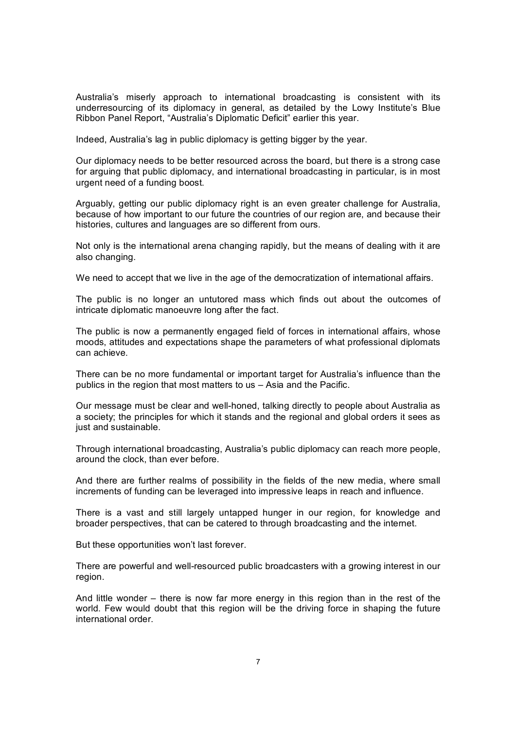Australia's miserly approach to international broadcasting is consistent with its underresourcing of its diplomacy in general, as detailed by the Lowy Institute's Blue Ribbon Panel Report, "Australia's Diplomatic Deficit" earlier this year.

Indeed, Australia's lag in public diplomacy is getting bigger by the year.

Our diplomacy needs to be better resourced across the board, but there is a strong case for arguing that public diplomacy, and international broadcasting in particular, is in most urgent need of a funding boost.

Arguably, getting our public diplomacy right is an even greater challenge for Australia, because of how important to our future the countries of our region are, and because their histories, cultures and languages are so different from ours.

Not only is the international arena changing rapidly, but the means of dealing with it are also changing.

We need to accept that we live in the age of the democratization of international affairs.

The public is no longer an untutored mass which finds out about the outcomes of intricate diplomatic manoeuvre long after the fact.

The public is now a permanently engaged field of forces in international affairs, whose moods, attitudes and expectations shape the parameters of what professional diplomats can achieve.

There can be no more fundamental or important target for Australia's influence than the publics in the region that most matters to us – Asia and the Pacific.

Our message must be clear and wellhoned, talking directly to people about Australia as a society; the principles for which it stands and the regional and global orders it sees as just and sustainable.

Through international broadcasting, Australia's public diplomacy can reach more people, around the clock, than ever before.

And there are further realms of possibility in the fields of the new media, where small increments of funding can be leveraged into impressive leaps in reach and influence.

There is a vast and still largely untapped hunger in our region, for knowledge and broader perspectives, that can be catered to through broadcasting and the internet.

But these opportunities won't last forever.

There are powerful and well-resourced public broadcasters with a growing interest in our region.

And little wonder – there is now far more energy in this region than in the rest of the world. Few would doubt that this region will be the driving force in shaping the future international order.